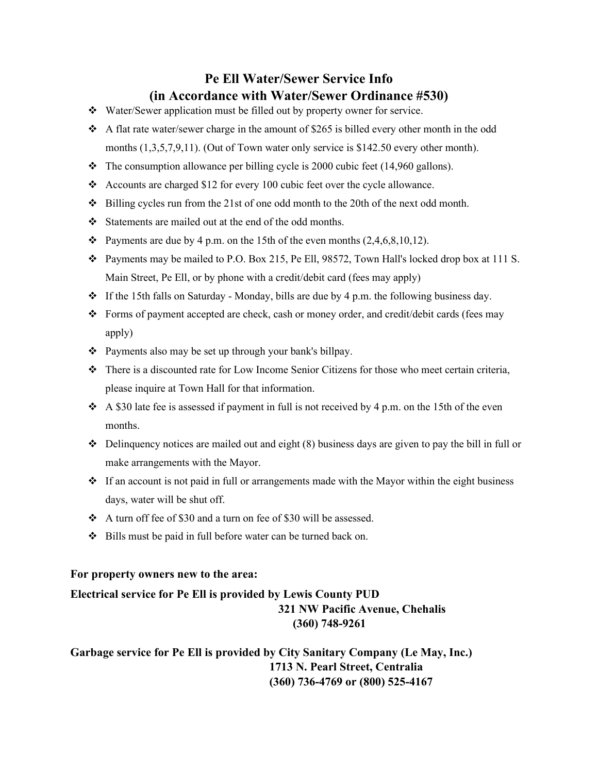## **Pe Ell Water/Sewer Service Info (in Accordance with Water/Sewer Ordinance #530)**

- Water/Sewer application must be filled out by property owner for service.
- A flat rate water/sewer charge in the amount of \$265 is billed every other month in the odd months  $(1,3,5,7,9,11)$ . (Out of Town water only service is \$142.50 every other month).
- $\cdot \cdot$  The consumption allowance per billing cycle is 2000 cubic feet (14,960 gallons).
- Accounts are charged \$12 for every 100 cubic feet over the cycle allowance.
- $\div$  Billing cycles run from the 21st of one odd month to the 20th of the next odd month.
- Statements are mailed out at the end of the odd months.
- $\bullet$  Payments are due by 4 p.m. on the 15th of the even months (2,4,6,8,10,12).
- Payments may be mailed to P.O. Box 215, Pe Ell, 98572, Town Hall's locked drop box at 111 S. Main Street, Pe Ell, or by phone with a credit/debit card (fees may apply)
- $\div$  If the 15th falls on Saturday Monday, bills are due by 4 p.m. the following business day.
- Forms of payment accepted are check, cash or money order, and credit/debit cards (fees may apply)
- \* Payments also may be set up through your bank's billpay.
- There is a discounted rate for Low Income Senior Citizens for those who meet certain criteria, please inquire at Town Hall for that information.
- $\div$  A \$30 late fee is assessed if payment in full is not received by 4 p.m. on the 15th of the even months.
- $\bullet$  Delinquency notices are mailed out and eight (8) business days are given to pay the bill in full or make arrangements with the Mayor.
- $\div$  If an account is not paid in full or arrangements made with the Mayor within the eight business days, water will be shut off.
- A turn off fee of \$30 and a turn on fee of \$30 will be assessed.
- Bills must be paid in full before water can be turned back on.

## **For property owners new to the area:**

**Electrical service for Pe Ell is provided by Lewis County PUD 321 NW Pacific Avenue, Chehalis (360) 748-9261** 

## **Garbage service for Pe Ell is provided by City Sanitary Company (Le May, Inc.) 1713 N. Pearl Street, Centralia (360) 736-4769 or (800) 525-4167**